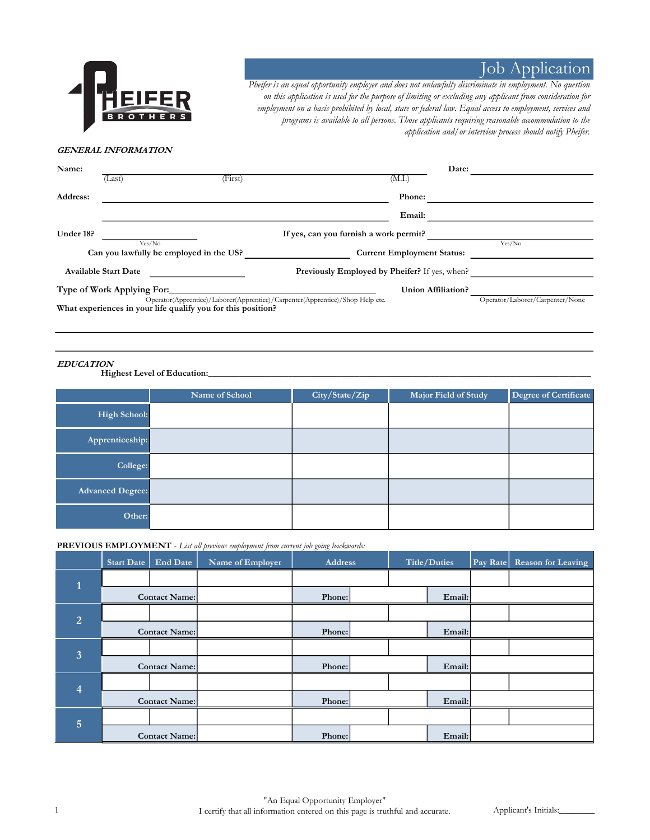

# **Job Application**

Pheifer is an equal opportunity employer and does not unlawfully discriminate in employment. No question on this application is used for the purpose of limiting or excluding any applicant from consideration for employment on a basis prohibited by local, state or federal law. Equal access to employment, services and programs is available to all persons. Those applicants requiring reasonable accommodation to the application and/or interview process should notify Pheifer.

## GENERAL INFORMATION

| Name:     |                                                              |         | Date:                                                                         |                                 |
|-----------|--------------------------------------------------------------|---------|-------------------------------------------------------------------------------|---------------------------------|
|           | (Last)                                                       | (First) | (M.I.)                                                                        |                                 |
| Address:  |                                                              |         | Phone:                                                                        |                                 |
|           |                                                              |         | Email:                                                                        |                                 |
| Under 18? |                                                              |         | If yes, can you furnish a work permit?                                        |                                 |
|           | Yes/No<br>Can you lawfully be employed in the US?            |         | <b>Current Employment Status:</b>                                             | Yes/No                          |
|           | <b>Available Start Date</b>                                  |         | <b>Previously Employed by Pheifer?</b> If yes, when?                          |                                 |
|           | Type of Work Applying For:                                   |         | Union Affiliation?                                                            |                                 |
|           | What experiences in your life qualify you for this position? |         | Operator(Apprentice)/Laborer(Apprentice)/Carpenter(Apprentice)/Shop Help etc. | Operator/Laborer/Carpenter/None |

### EDUCATION

Highest Level of Education:

|                         | Name of School | City/State/Zip | Major Field of Study | Degree of Certificate |
|-------------------------|----------------|----------------|----------------------|-----------------------|
| <b>High School:</b>     |                |                |                      |                       |
| Apprenticeship:         |                |                |                      |                       |
| College:                |                |                |                      |                       |
| <b>Advanced Degree:</b> |                |                |                      |                       |
| Other:                  |                |                |                      |                       |

#### PREVIOUS EMPLOYMENT - List all previous employment from current job going backwards:

|                | <b>Start Date</b> | <b>End Date</b>      | Name of Employer | <b>Address</b> |  |  | Title/Duties | Pay Rate | <b>Reason for Leaving</b> |
|----------------|-------------------|----------------------|------------------|----------------|--|--|--------------|----------|---------------------------|
|                |                   |                      |                  |                |  |  |              |          |                           |
|                | Contact Name:     |                      |                  | Phone:         |  |  | Email:       |          |                           |
| $\overline{2}$ |                   |                      |                  |                |  |  |              |          |                           |
|                |                   | <b>Contact Name:</b> |                  | Phone:         |  |  | Email:       |          |                           |
| 3              |                   |                      |                  |                |  |  |              |          |                           |
|                |                   | <b>Contact Name:</b> |                  | Phone:         |  |  | Email:       |          |                           |
| $\overline{A}$ |                   |                      |                  |                |  |  |              |          |                           |
|                |                   | Contact Name:        |                  | Phone:         |  |  | Email:       |          |                           |
| $\overline{5}$ |                   |                      |                  |                |  |  |              |          |                           |
|                |                   | Contact Name:        |                  | Phone:         |  |  | Email:       |          |                           |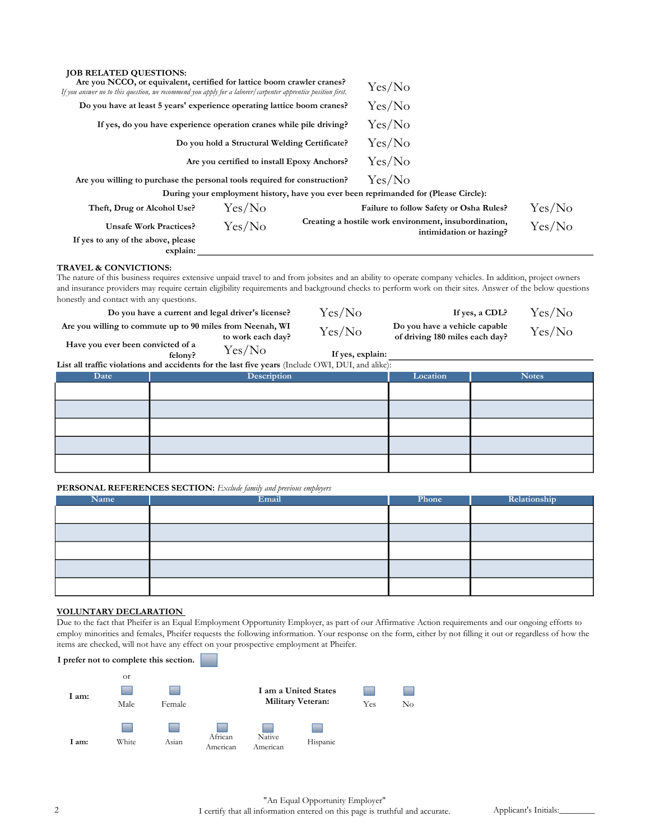| <b>JOB RELATED QUESTIONS:</b><br>Are you NCCO, or equivalent, certified for lattice boom crawler cranes?<br>If you answer no to this question, we recommend you apply for a laborer/carpenter apprentice position first. |                                               |        | Yes/No                                                                                                                                                                                                                                                                                                                |        |
|--------------------------------------------------------------------------------------------------------------------------------------------------------------------------------------------------------------------------|-----------------------------------------------|--------|-----------------------------------------------------------------------------------------------------------------------------------------------------------------------------------------------------------------------------------------------------------------------------------------------------------------------|--------|
| Do you have at least 5 years' experience operating lattice boom cranes?                                                                                                                                                  |                                               | Yes/No |                                                                                                                                                                                                                                                                                                                       |        |
| If yes, do you have experience operation cranes while pile driving?                                                                                                                                                      |                                               | Yes/No |                                                                                                                                                                                                                                                                                                                       |        |
|                                                                                                                                                                                                                          | Do you hold a Structural Welding Certificate? |        | Yes/No                                                                                                                                                                                                                                                                                                                |        |
|                                                                                                                                                                                                                          | Are you certified to install Epoxy Anchors?   |        | Yes/No                                                                                                                                                                                                                                                                                                                |        |
| Are you willing to purchase the personal tools required for construction?                                                                                                                                                |                                               |        | Yes/No                                                                                                                                                                                                                                                                                                                |        |
|                                                                                                                                                                                                                          |                                               |        | During your employment history, have you ever been reprimanded for (Please Circle):                                                                                                                                                                                                                                   |        |
| Theft, Drug or Alcohol Use?                                                                                                                                                                                              | Yes/No                                        |        | Failure to follow Safety or Osha Rules?                                                                                                                                                                                                                                                                               | Yes/No |
| <b>Unsafe Work Practices?</b><br>If yes to any of the above, please<br>explain:                                                                                                                                          | Yes/No                                        |        | Creating a hostile work environment, insubordination,<br>intimidation or hazing?                                                                                                                                                                                                                                      | Yes/No |
| <b>TRAVEL &amp; CONVICTIONS:</b><br>honestly and contact with any questions.                                                                                                                                             |                                               |        | The nature of this business requires extensive unpaid travel to and from jobsites and an ability to operate company vehicles. In addition, project owners<br>and insurance providers may require certain eligibility requirements and background checks to perform work on their sites. Answer of the below questions |        |

Yes/No Have you ever been convicted of a  $T_{\text{felong}}^{\text{red of a}}$   $Y_{\text{es}}/N_{\text{O}}$  If yes, explain: Are you willing to commute up to 90 miles from Neenah, WI from Neenah, WI  $\text{Yes/No}$  Do you have a vehicle capable to work each day?  $\text{Yes/No}$  of driving 180 miles each day? Do you have a current and legal driver's license?  $Yes/No$  If yes, a CDL?  $Yes/No$ <br>ling to commute up to 90 miles from Neenah, WI  $Yes/NI<sub>c</sub>$  Do you have a vehicle capable  $Yes/NI<sub>c</sub>$ 

List all traffic violations and accidents for the last five years (Include OWI, DUI, and alike):

| Date | $\sim$ $\sim$ $\sim$ $\sim$ $\sim$ $\sim$<br>Description | Location | <b>Notes</b> |
|------|----------------------------------------------------------|----------|--------------|
|      |                                                          |          |              |
|      |                                                          |          |              |
|      |                                                          |          |              |
|      |                                                          |          |              |
|      |                                                          |          |              |

#### PERSONAL REFERENCES SECTION: Exclude family and previous employers

| Name | Email | Phone | Relationship |
|------|-------|-------|--------------|
|      |       |       |              |
|      |       |       |              |
|      |       |       |              |
|      |       |       |              |
|      |       |       |              |

#### VOLUNTARY DECLARATION

Due to the fact that Pheifer is an Equal Employment Opportunity Employer, as part of our Affirmative Action requirements and our ongoing efforts to employ minorities and females, Pheifer requests the following information. Your response on the form, either by not filling it out or regardless of how the items are checked, will not have any effect on your prospective employment at Pheifer.